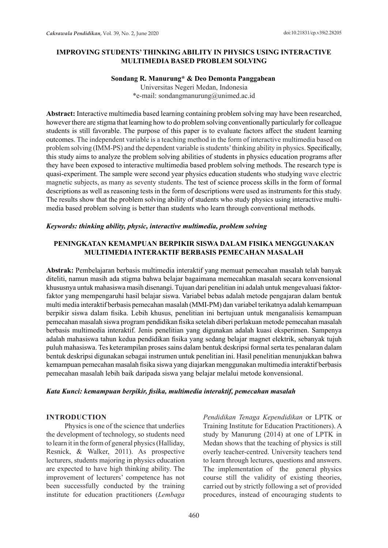## **IMPROVING STUDENTS' THINKING ABILITY IN PHYSICS USING INTERACTIVE MULTIMEDIA BASED PROBLEM SOLVING**

#### **Sondang R. Manurung\* & Deo Demonta Panggabean**

Universitas Negeri Medan, Indonesia \*e-mail: sondangmanurung@unimed.ac.id

**Abstract:** Interactive multimedia based learning containing problem solving may have been researched, however there are stigma that learning how to do problem solving conventionally particularly for colleague students is still favorable. The purpose of this paper is to evaluate factors affect the student learning outcomes. The independent variable is a teaching method in the form of interactive multimedia based on problem solving (IMM-PS) and the dependent variable is students' thinking ability in physics. Specifically, this study aims to analyze the problem solving abilities of students in physics education programs after they have been exposed to interactive multimedia based problem solving methods. The research type is quasi-experiment. The sample were second year physics education students who studying wave electric magnetic subjects, as many as seventy students. The test of science process skills in the form of formal descriptions as well as reasoning tests in the form of descriptions were used as instruments for this study. The results show that the problem solving ability of students who study physics using interactive multimedia based problem solving is better than students who learn through conventional methods.

#### *Keywords: thinking ability, physic, interactive multimedia, problem solving*

## **PENINGKATAN KEMAMPUAN BERPIKIR SISWA DALAM FISIKA MENGGUNAKAN MULTIMEDIA INTERAKTIF BERBASIS PEMECAHAN MASALAH**

**Abstrak:** Pembelajaran berbasis multimedia interaktif yang memuat pemecahan masalah telah banyak diteliti, namun masih ada stigma bahwa belajar bagaimana memecahkan masalah secara konvensional khususnya untuk mahasiswa masih disenangi. Tujuan dari penelitian ini adalah untuk mengevaluasi faktorfaktor yang mempengaruhi hasil belajar siswa. Variabel bebas adalah metode pengajaran dalam bentuk multi media interaktif berbasis pemecahan masalah (MMI-PM) dan variabel terikatnya adalah kemampuan berpikir siswa dalam fisika. Lebih khusus, penelitian ini bertujuan untuk menganalisis kemampuan pemecahan masalah siswa program pendidikan fisika setelah diberi perlakuan metode pemecahan masalah berbasis multimedia interaktif. Jenis penelitian yang digunakan adalah kuasi eksperimen. Sampenya adalah mahasiswa tahun kedua pendidikan fisika yang sedang belajar magnet elektrik, sebanyak tujuh puluh mahasiswa. Tes keterampilan proses sains dalam bentuk deskripsi formal serta tes penalaran dalam bentuk deskripsi digunakan sebagai instrumen untuk penelitian ini. Hasil penelitian menunjukkan bahwa kemampuan pemecahan masalah fisika siswa yang diajarkan menggunakan multimedia interaktif berbasis pemecahan masalah lebih baik daripada siswa yang belajar melalui metode konvensional.

## *Kata Kunci: kemampuan berpikir, fisika, multimedia interaktif, pemecahan masalah*

## **INTRODUCTION**

Physics is one of the science that underlies the development of technology, so students need to learn it in the form of general physics (Halliday, Resnick, & Walker, 2011). As prospective lecturers, students majoring in physics education are expected to have high thinking ability. The improvement of lecturers' competence has not been successfully conducted by the training institute for education practitioners (*Lembaga*  *Pendidikan Tenaga Kependidikan* or LPTK or Training Institute for Education Practitioners). A study by Manurung (2014) at one of LPTK in Medan shows that the teaching of physics is still overly teacher-centred. University teachers tend to learn through lectures, questions and answers. The implementation of the general physics course still the validity of existing theories, carried out by strictly following a set of provided procedures, instead of encouraging students to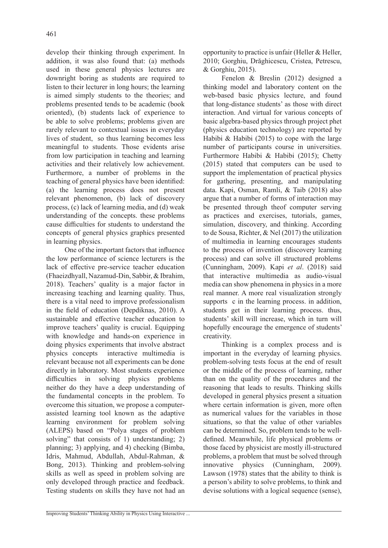develop their thinking through experiment. In addition, it was also found that: (a) methods used in these general physics lectures are downright boring as students are required to listen to their lecturer in long hours; the learning is aimed simply students to the theories; and problems presented tends to be academic (book oriented), (b) students lack of experience to be able to solve problems; problems given are rarely relevant to contextual issues in everyday lives of student, so thus learning becomes less meaningful to students. Those evidents arise from low participation in teaching and learning activities and their relatively low achievement. Furthermore, a number of problems in the teaching of general physics have been identified: (a) the learning process does not present relevant phenomenon, (b) lack of discovery process, (c) lack of learning media, and (d) weak understanding of the concepts. these problems cause difficulties for students to understand the concepts of general physics graphics presented in learning physics.

One of the important factors that influence the low performance of science lecturers is the lack of effective pre-service teacher education (Fhaeizdhyall, Nazamud-Din, Sabbir, & Ibrahim, 2018). Teachers' quality is a major factor in increasing teaching and learning quality. Thus, there is a vital need to improve professionalism in the field of education (Depdiknas, 2010). A sustainable and effective teacher education to improve teachers' quality is crucial. Equipping with knowledge and hands-on experience in doing physics experiments that involve abstract physics concepts interactive multimedia is relevant because not all experiments can be done directly in laboratory. Most students experience difficulties in solving physics problems neither do they have a deep understanding of the fundamental concepts in the problem. To overcome this situation, we propose a computerassisted learning tool known as the adaptive learning environment for problem solving (ALEPS) based on "Polya stages of problem solving" that consists of 1) understanding; 2) planning; 3) applying, and 4) checking (Bimba, Idris, Mahmud, Abdullah, Abdul-Rahman, & Bong, 2013). Thinking and problem-solving skills as well as speed in problem solving are only developed through practice and feedback. Testing students on skills they have not had an opportunity to practice is unfair (Heller & Heller, 2010; Gorghiu, Drăghicescu, Cristea, Petrescu, & Gorghiu, 2015).

Fenelon & Breslin (2012) designed a thinking model and laboratory content on the web-based basic physics lecture, and found that long-distance students' as those with direct interaction. And virtual for various concepts of basic algebra-based physics through project phet (physics education technology) are reported by Habibi & Habibi (2015) to cope with the large number of participants course in universities. Furthermore Habibi & Habibi (2015); Chetty (2015) stated that computers can be used to support the implementation of practical physics for gathering, presenting, and manipulating data. Kapi, Osman, Ramli, & Taib (2018) also argue that a number of forms of interaction may be presented through theof computer serving as practices and exercises, tutorials, games, simulation, discovery, and thinking. According to de Sousa, Richter, & Nel (2017) the utilization of multimedia in learning encourages students to the process of invention (discovery learning process) and can solve ill structured problems (Cunningham, 2009). Kapi *et al*. (2018) said that interactive multimedia as audio-visual media can show phenomena in physics in a more real manner. A more real visualization strongly supports c in the learning process. in addition, students get in their learning process. thus, students' skill will increase, which in turn will hopefully encourage the emergence of students' creativity.

Thinking is a complex process and is important in the everyday of learning physics. problem-solving tests focus at the end of result or the middle of the process of learning, rather than on the quality of the procedures and the reasoning that leads to results. Thinking skills developed in general physics present a situation where certain information is given, more often as numerical values for the variables in those situations, so that the value of other variables can be determined. So, problem tends to be welldefined. Meanwhile, life physical problems or those faced by physicist are mostly ill-structured problems, a problem that must be solved through innovative physics (Cunningham, 2009). Lawson (1978) states that the ability to think is a person's ability to solve problems, to think and devise solutions with a logical sequence (sense),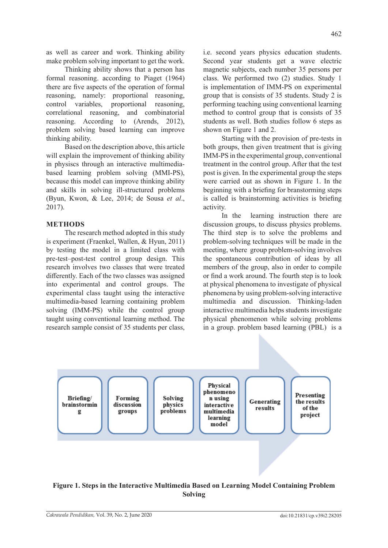as well as career and work. Thinking ability make problem solving important to get the work.

Thinking ability shows that a person has formal reasoning. according to Piaget (1964) there are five aspects of the operation of formal reasoning, namely: proportional reasoning, control variables, proportional reasoning, correlational reasoning, and combinatorial reasoning. According to (Arends, 2012), problem solving based learning can improve thinking ability.

Based on the description above, this article will explain the improvement of thinking ability in physiscs through an interactive multimediabased learning problem solving (MMI-PS), because this model can improve thinking ability and skills in solving ill-structured problems (Byun, Kwon, & Lee, 2014; de Sousa *et al*., 2017).

# **METHODS**

The research method adopted in this study is experiment (Fraenkel, Wallen, & Hyun, 2011) by testing the model in a limited class with pre-test–post-test control group design. This research involves two classes that were treated differently. Each of the two classes was assigned into experimental and control groups. The experimental class taught using the interactive multimedia-based learning containing problem solving (IMM-PS) while the control group taught using conventional learning method. The research sample consist of 35 students per class, i.e. second years physics education students. Second year students get a wave electric magnetic subjects, each number 35 persons per class. We performed two (2) studies. Study 1 is implementation of IMM-PS on experimental group that is consists of 35 students. Study 2 is performing teaching using conventional learning method to control group that is consists of 35 students as well. Both studies follow 6 steps as shown on Figure 1 and 2.

Starting with the provision of pre-tests in both groups, then given treatment that is giving IMM-PS in the experimental group, conventional treatment in the control group. After that the test post is given. In the experimental group the steps were carried out as shown in Figure 1. In the beginning with a briefing for branstorming steps is called is brainstorming activities is briefing activity.

In the learning instruction there are discussion groups, to discuss physics problems. The third step is to solve the problems and problem-solving techniques will be made in the meeting, where group problem-solving involves the spontaneous contribution of ideas by all members of the group, also in order to compile or find a work around. The fourth step is to look at physical phenomena to investigate of physical phenomena by using problem-solving interactive multimedia and discussion. Thinking-laden interactive multimedia helps students investigate physical phenomenon while solving problems in a group. problem based learning (PBL) is a



# **Figure 1. Steps in the Interactive Multimedia Based on Learning Model Containing Problem Solving**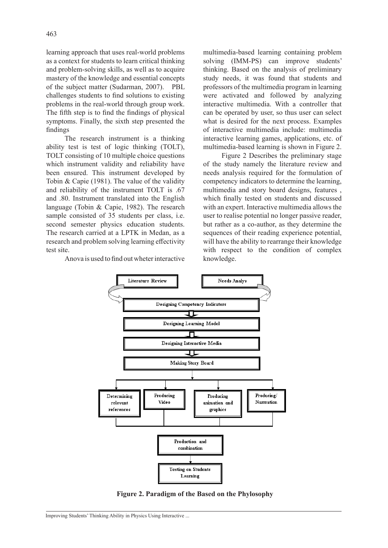learning approach that uses real-world problems as a context for students to learn critical thinking and problem-solving skills, as well as to acquire mastery of the knowledge and essential concepts of the subject matter (Sudarman, 2007). PBL challenges students to find solutions to existing problems in the real-world through group work. The fifth step is to find the findings of physical symptoms. Finally, the sixth step presented the findings

The research instrument is a thinking ability test is test of logic thinking (TOLT), TOLT consisting of 10 multiple choice questions which instrument validity and reliability have been ensured. This instrument developed by Tobin & Capie (1981). The value of the validity and reliability of the instrument TOLT is .67 and .80. Instrument translated into the English language (Tobin & Capie, 1982). The research sample consisted of 35 students per class, i.e. second semester physics education students. The research carried at a LPTK in Medan, as a research and problem solving learning effectivity test site.

Anova is used to find out wheter interactive

multimedia-based learning containing problem solving (IMM-PS) can improve students' thinking. Based on the analysis of preliminary study needs, it was found that students and professors of the multimedia program in learning were activated and followed by analyzing interactive multimedia. With a controller that can be operated by user, so thus user can select what is desired for the next process. Examples of interactive multimedia include: multimedia interactive learning games, applications, etc. of multimedia-based learning is shown in Figure 2.

Figure 2 Describes the preliminary stage of the study namely the literature review and needs analysis required for the formulation of competency indicators to determine the learning, multimedia and story board designs, features , which finally tested on students and discussed with an expert. Interactive multimedia allows the user to realise potential no longer passive reader, but rather as a co-author, as they determine the sequences of their reading experience potential, will have the ability to rearrange their knowledge with respect to the condition of complex knowledge.



**Figure 2. Paradigm of the Based on the Phylosophy**

Improving Students' Thinking Ability in Physics Using Interactive ...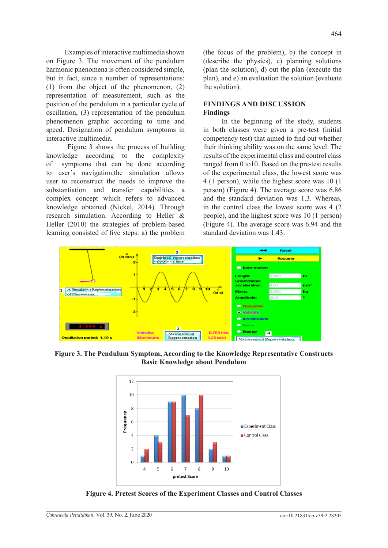Examples of interactive multimedia shown on Figure 3. The movement of the pendulum harmonic phenomena is often considered simple, but in fact, since a number of representations: (1) from the object of the phenomenon, (2) representation of measurement, such as the position of the pendulum in a particular cycle of oscillation, (3) representation of the pendulum phenomenon graphic according to time and speed. Designation of pendulum symptoms in interactive multimedia.

 Figure 3 shows the process of building knowledge according to the complexity of symptoms that can be done according to user's navigation,the simulation allows user to reconstruct the needs to improve the substantiation and transfer capabilities a complex concept which refers to advanced knowledge obtained (Nickel, 2014). Through research simulation. According to Heller & Heller (2010) the strategies of problem-based learning consisted of five steps: a) the problem (the focus of the problem), b) the concept in (describe the physics), c) planning solutions (plan the solution), d) out the plan (execute the plan), and e) an evaluation the solution (evaluate the solution).

# **FINDINGS AND DISCUSSION Findings**

In the beginning of the study, students in both classes were given a pre-test (initial competency test) that aimed to find out whether their thinking ability was on the same level. The results of the experimental class and control class ranged from 0 to10. Based on the pre-test results of the experimental class, the lowest score was 4 (1 person), while the highest score was 10 (1 person) (Figure 4). The average score was 6.86 and the standard deviation was 1.3. Whereas, in the control class the lowest score was 4 (2 people), and the highest score was 10 (1 person) (Figure 4). The average score was 6.94 and the standard deviation was 1.43.



**Figure 3. The Pendulum Symptom, According to the Knowledge Representative Constructs Basic Knowledge about Pendulum**



**Figure 4. Pretest Scores of the Experiment Classes and Control Classes**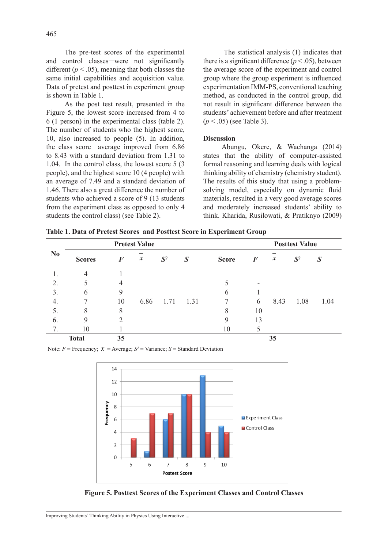As the post test result, presented in the Figure 5, the lowest score increased from 4 to 6 (1 person) in the experimental class (table 2). The number of students who the highest score, 10, also increased to people (5). In addition, the class score average improved from 6.86 to 8.43 with a standard deviation from 1.31 to 1.04. In the control class, the lowest score 5 (3 people), and the highest score 10 (4 people) with an average of 7.49 and a standard deviation of 1.46. There also a great difference the number of students who achieved a score of 9 (13 students from the experiment class as opposed to only 4 students the control class) (see Table 2).

 The statistical analysis (1) indicates that there is a significant difference ( $p < .05$ ), between the average score of the experiment and control group where the group experiment is influenced experimentation IMM-PS, conventional teaching method, as conducted in the control group, did not result in significant difference between the students' achievement before and after treatment (*p* < .05) (see Table 3).

### **Discussion**

Abungu, Okere, & Wachanga (2014) states that the ability of computer-assisted formal reasoning and learning deals with logical thinking ability of chemistry (chemistry student). The results of this study that using a problemsolving model, especially on dynamic fluid materials, resulted in a very good average scores and moderately increased students' ability to think. Kharida, Rusilowati, & Pratiknyo (2009)

|  | Table 1. Data of Pretest Scores and Posttest Score in Experiment Group |  |  |  |  |  |
|--|------------------------------------------------------------------------|--|--|--|--|--|
|  |                                                                        |  |  |  |  |  |

| N <sub>0</sub> | <b>Pretest Value</b> |          |                  |                |                  |              | <b>Posttest Value</b> |                     |       |                  |  |
|----------------|----------------------|----------|------------------|----------------|------------------|--------------|-----------------------|---------------------|-------|------------------|--|
|                | <b>Scores</b>        | $\bm{F}$ | $\boldsymbol{x}$ | $\mathbf{S}^2$ | $\boldsymbol{S}$ | <b>Score</b> | F                     | $\boldsymbol{\chi}$ | $S^2$ | $\boldsymbol{S}$ |  |
|                | 4                    |          |                  |                |                  |              |                       |                     |       |                  |  |
| 2.             |                      | 4        |                  |                |                  |              |                       |                     |       |                  |  |
| 3.             | 6                    | 9        |                  |                |                  | 6            |                       |                     |       |                  |  |
| 4.             |                      | 10       | 6.86             | 1.71           | 1.31             |              | 6                     | 8.43                | 1.08  | 1.04             |  |
| 5.             | 8                    | 8        |                  |                |                  | 8            | 10                    |                     |       |                  |  |
| 6.             | 9                    | ∍        |                  |                |                  | 9            | 13                    |                     |       |                  |  |
| 7.             | 10                   |          |                  |                |                  | 10           |                       |                     |       |                  |  |
| <b>Total</b>   |                      | 35       |                  |                |                  |              |                       | 35                  |       |                  |  |

Note:  $F =$  Frequency;  $x =$  Average;  $S^2 =$  Variance;  $S =$  Standard Deviation



**Figure 5. Posttest Scores of the Experiment Classes and Control Classes**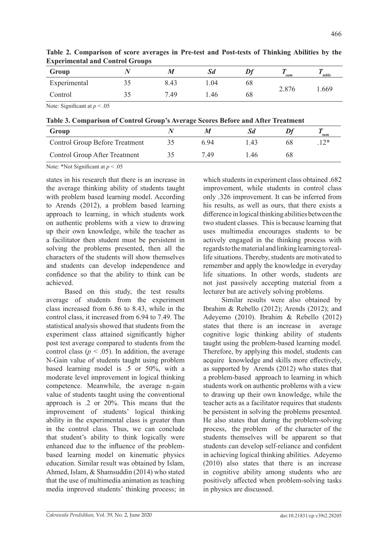| Group        |     | IИ   | Sd   | $\boldsymbol{\nu}$ | sum   | $-table$ |
|--------------|-----|------|------|--------------------|-------|----------|
| Experimental | ں ر | 8.43 | 1.04 | 68                 | 2.876 | . 669    |
| Control      | ЭJ  | 7.49 | ۔ 46 | 68                 |       |          |

**Table 2. Comparison of score averages in Pre-test and Post-tests of Thinking Abilities by the Experimental and Control Groups**

Note: Significant at  $p < .05$ 

**Table 3. Comparison of Control Group's Average Scores Before and After Treatment**

| Group                                 |      |     | sum |
|---------------------------------------|------|-----|-----|
| <b>Control Group Before Treatment</b> | 6.94 | .43 |     |
| <b>Control Group After Treatment</b>  | 7.49 | .46 |     |

Note: \*Not Significant at *p* < .05

states in his research that there is an increase in the average thinking ability of students taught with problem based learning model. According to Arends (2012), a problem based learning approach to learning, in which students work on authentic problems with a view to drawing up their own knowledge, while the teacher as a facilitator then student must be persistent in solving the problems presented, then all the characters of the students will show themselves and students can develop independence and confidence so that the ability to think can be achieved.

Based on this study, the test results average of students from the experiment class increased from 6.86 to 8.43, while in the control class, it increased from 6.94 to 7.49. The statistical analysis showed that students from the experiment class attained significantly higher post test average compared to students from the control class ( $p < .05$ ). In addition, the average N-Gain value of students taught using problem based learning model is .5 or 50%, with a moderate level improvement in logical thinking competence. Meanwhile, the average n-gain value of students taught using the conventional approach is .2 or 20%. This means that the improvement of students' logical thinking ability in the experimental class is greater than in the control class. Thus, we can conclude that student's ability to think logically were enhanced due to the influence of the problembased learning model on kinematic physics education. Similar result was obtained by Islam, Ahmed, Islam, & Shamsuddin (2014) who stated that the use of multimedia animation as teaching media improved students' thinking process; in which students in experiment class obtained .682 improvement, while students in control class only .326 improvement. It can be inferred from his results, as well as ours, that there exists a difference in logical thinking abilities between the two student classes. This is because learning that uses multimedia encourages students to be actively engaged in the thinking process with regards tothe material andlinking learning toreallife situations. Thereby, students are motivated to remember and apply the knowledge in everyday life situations. In other words, students are not just passively accepting material from a lecturer but are actively solving problems.

Similar results were also obtained by Ibrahim & Rebello (2012); Arends (2012); and Adeyemo (2010). Ibrahim & Rebello (2012) states that there is an increase in average cognitive logic thinking ability of students taught using the problem-based learning model. Therefore, by applying this model, students can acquire knowledge and skills more effectively, as supported by Arends (2012) who states that a problem-based approach to learning in which students work on authentic problems with a view to drawing up their own knowledge, while the teacher acts as a facilitator requires that students be persistent in solving the problems presented. He also states that during the problem-solving process, the problem of the character of the students themselves will be apparent so that students can develop self-reliance and confident in achieving logical thinking abilities. Adeyemo (2010) also states that there is an increase in cognitive ability among students who are positively affected when problem-solving tasks in physics are discussed.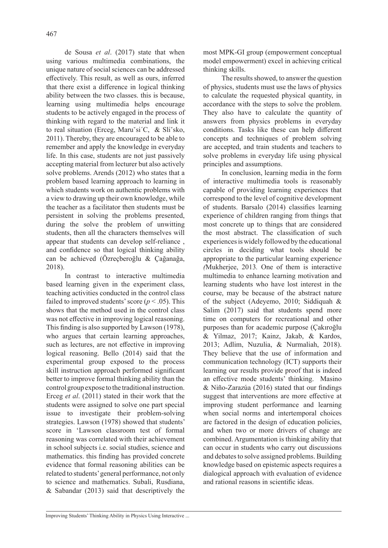de Sousa *et al*. (2017) state that when using various multimedia combinations, the unique nature of social sciences can be addressed effectively. This result, as well as ours, inferred that there exist a difference in logical thinking ability between the two classes. this is because, learning using multimedia helps encourage students to be actively engaged in the process of thinking with regard to the material and link it to real situation (Erceg, Maruˇsi´C, & Sliˇsko, 2011). Thereby, they are encouraged to be able to remember and apply the knowledge in everyday life. In this case, students are not just passively accepting material from lecturer but also actively solve problems. Arends (2012) who states that a problem based learning approach to learning in which students work on authentic problems with a view to drawing up their own knowledge, while the teacher as a facilitator then students must be persistent in solving the problems presented, during the solve the problem of unwitting students, then all the characters themselves will appear that students can develop self-reliance , and confidence so that logical thinking ability can be achieved (Özreçberoğlu & Çağanağa, 2018).

In contrast to interactive multimedia based learning given in the experiment class, teaching activities conducted in the control class failed to improved students' score ( $p < .05$ ). This shows that the method used in the control class was not effective in improving logical reasoning. This finding is also supported by Lawson (1978), who argues that certain learning approaches, such as lectures, are not effective in improving logical reasoning. Bello (2014) said that the experimental group exposed to the process skill instruction approach performed significant better to improve formal thinking ability than the control group expose to the traditional instruction. Erceg *et al*. (2011) stated in their work that the students were assigned to solve one part special issue to investigate their problem-solving strategies. Lawson (1978) showed that students' score in 'Lawson classroom test of formal reasoning was correlated with their achievement in school subjects i.e. social studies, science and mathematics. this finding has provided concrete evidence that formal reasoning abilities can be related to students' general performance, not only to science and mathematics. Subali, Rusdiana, & Sabandar (2013) said that descriptively the most MPK-GI group (empowerment conceptual model empowerment) excel in achieving critical thinking skills.

The results showed, to answer the question of physics, students must use the laws of physics to calculate the requested physical quantity, in accordance with the steps to solve the problem. They also have to calculate the quantity of answers from physics problems in everyday conditions. Tasks like these can help different concepts and techniques of problem solving are accepted, and train students and teachers to solve problems in everyday life using physical principles and assumptions.

In conclusion, learning media in the form of interactive multimedia tools is reasonably capable of providing learning experiences that correspond to the level of cognitive development of students. Barsalo (2014) classifies learning experience of children ranging from things that most concrete up to things that are considered the most abstract. The classification of such experiences is widely followed by the educational circles in deciding what tools should be appropriate to the particular learning experienc*e (*Mukherjee, 2013*.* One of them is interactive multimedia to enhance learning motivation and learning students who have lost interest in the course, may be because of the abstract nature of the subject (Adeyemo, 2010; Siddiquah & Salim (2017) said that students spend more time on computers for recreational and other purposes than for academic purpose (Çakıroğlu & Yilmaz, 2017; Kainz, Jakab, & Kardos, 2013; Adlim, Nuzulia, & Nurmaliah, 2018). They believe that the use of information and communication technology (ICT) supports their learning our results provide proof that is indeed an effective mode students' thinking. Masino & Niño-Zarazúa (2016) stated that our findings suggest that interventions are more effective at improving student performance and learning when social norms and intertemporal choices are factored in the design of education policies, and when two or more drivers of change are combined. Argumentation is thinking ability that can occur in students who carry out discussions and debates to solve assigned problems. Building knowledge based on epistemic aspects requires a dialogical approach with evaluation of evidence and rational reasons in scientific ideas.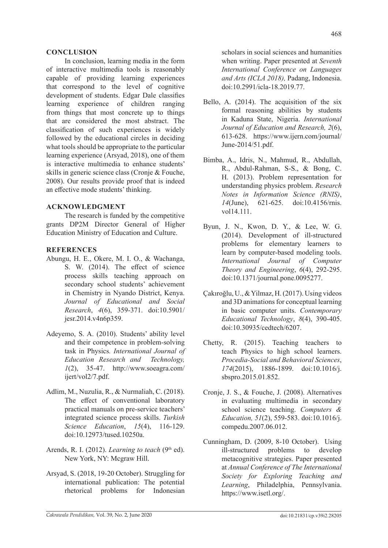## **CONCLUSION**

In conclusion, learning media in the form of interactive multimedia tools is reasonably capable of providing learning experiences that correspond to the level of cognitive development of students. Edgar Dale classifies learning experience of children ranging from things that most concrete up to things that are considered the most abstract. The classification of such experiences is widely followed by the educational circles in deciding what tools should be appropriate to the particular learning experience (Arsyad, 2018), one of them is interactive multimedia to enhance students' skills in generic science class (Cronje & Fouche, 2008). Our results provide proof that is indeed an effective mode students' thinking.

## **ACKNOWLEDGMENT**

The research is funded by the competitive grants DP2M Director General of Higher Education Ministry of Education and Culture.

### **REFERENCES**

- Abungu, H. E., Okere, M. I. O., & Wachanga, S. W. (2014). The effect of science process skills teaching approach on secondary school students' achievement in Chemistry in Nyando District, Kenya. *Journal of Educational and Social Research*, *4*(6), 359-371. doi:10.5901/ jesr.2014.v4n6p359.
- Adeyemo, S. A. (2010). Students' ability level and their competence in problem-solving task in Physics*. International Journal of Education Research and Technology, 1*(2), 35-47. http://www.soeagra.com/ ijert/vol2/7.pdf.
- Adlim, M., Nuzulia, R., & Nurmaliah, C. (2018). The effect of conventional laboratory practical manuals on pre-service teachers' integrated science process skills. *Turkish Science Education*, *15*(4), 116-129. doi:10.12973/tused.10250a.
- Arends, R. I. (2012). *Learning to teach* (9<sup>th</sup> ed). New York, NY: Mcgraw Hill.
- Arsyad, S. (2018, 19-20 October). Struggling for international publication: The potential rhetorical problems for Indonesian

scholars in social sciences and humanities when writing. Paper presented at *Seventh International Conference on Languages and Arts (ICLA 2018),* Padang, Indonesia. doi:10.2991/icla-18.2019.77.

- Bello, A. (2014). The acquisition of the six formal reasoning abilities by students in Kaduna State, Nigeria. *International Journal of Education and Research, 2*(6), 613-628. https://www.ijern.com/journal/ June-2014/51.pdf.
- Bimba, A., Idris, N., Mahmud, R., Abdullah, R., Abdul-Rahman, S-S., & Bong, C. H. (2013). Problem representation for understanding physics problem. *Research Notes in Information Science (RNIS)*, *14*(June), 621-625. doi:10.4156/rnis. vol14.111.
- Byun, J. N., Kwon, D. Y., & Lee, W. G. (2014). Development of ill-structured problems for elementary learners to learn by computer-based modeling tools. *International Journal of Computer Theory and Engineering*, *6*(4), 292-295. doi:10.1371/journal.pone.0095277.
- Çakıroğlu, U., & Yilmaz, H. (2017). Using videos and 3D animations for conceptual learning in basic computer units. *Contemporary Educational Technology*, *8*(4), 390-405. doi:10.30935/cedtech/6207.
- Chetty, R. (2015). Teaching teachers to teach Physics to high school learners. *Procedia-Social and Behavioral Sciences*, *174*(2015), 1886-1899. doi:10.1016/j. sbspro.2015.01.852.
- Cronje, J. S., & Fouche, J. (2008). Alternatives in evaluating multimedia in secondary school science teaching. *Computers & Education, 51*(2), 559-583. doi:10.1016/j. compedu.2007.06.012.
- Cunningham, D. (2009, 8-10 October). Using ill-structured problems to develop metacognitive strategies. Paper presented at *Annual Conference of The International Society for Exploring Teaching and Learning*, Philadelphia, Pennsylvania. https://www.isetl.org/.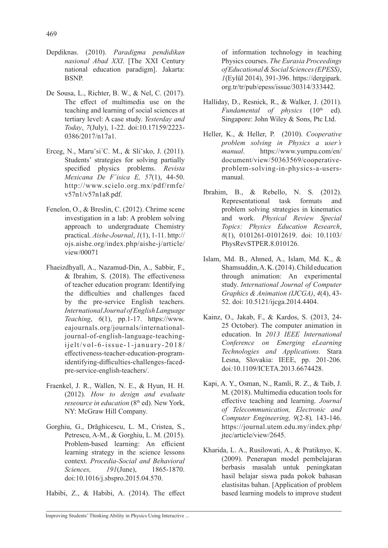- Depdiknas. (2010). *Paradigma pendidikan nasional Abad XXI*. [The XXI Century national education paradigm]. Jakarta: BSNP.
- De Sousa, L., Richter, B. W., & Nel, C. (2017). The effect of multimedia use on the teaching and learning of social sciences at tertiary level: A case study. *Yesterday and Today*, *7*(July), 1-22. doi:10.17159/2223- 0386/2017/n17a1.
- Erceg, N., Maruˇsi´C. M., & Sliˇsko, J. (2011). Students' strategies for solving partially specified physics problems. *Revista Mexicana De F´isica E, 57*(1), 44-50. http://www.scielo.org.mx/pdf/rmfe/ v57n1/v57n1a8.pdf.
- Fenelon, O., & Breslin, C. (2012). Chrime scene investigation in a lab: A problem solving approach to undergraduate Chemistry practical. *Aishe-Journal*, *1*(1), 1-11. http:// ojs.aishe.org/index.php/aishe-j/article/ view/00071
- Fhaeizdhyall, A., Nazamud-Din, A., Sabbir, F., & Ibrahim, S. (2018). The effectiveness of teacher education program: Identifying the difficulties and challenges faced by the pre-service English teachers. *International Journal of English Language Teaching*, *6*(1), pp.1-17. https://www. eajournals.org/journals/internationaljournal-of-english-language-teachingijelt/vol-6-issue-1-january-2018/ effectiveness-teacher-education-programidentifying-difficulties-challenges-facedpre-service-english-teachers/.
- Fraenkel, J. R., Wallen, N. E., & Hyun, H. H. (2012). *How to design and evaluate reseource in education* (8<sup>th</sup> ed). New York, NY: McGraw Hill Company*.*
- Gorghiu, G., Drăghicescu, L. M., Cristea, S., Petrescu, A-M., & Gorghiu, L. M. (2015). Problem-based learning: An efficient learning strategy in the science lessons context. *Procedia-Social and Behavioral Sciences, 191*(June), 1865-1870. doi:10.1016/j.sbspro.2015.04.570.
- Habibi, Z., & Habibi, A. (2014). The effect

of information technology in teaching Physics courses. *The Eurasia Proceedings of Educational & Social Sciences (EPESS)*, *1*(Eylül 2014), 391-396. https://dergipark. org.tr/tr/pub/epess/issue/30314/333442.

- Halliday, D., Resnick, R., & Walker, J. (2011). *Fundamental of physics* (10<sup>th</sup> ed). Singapore: John Wiley & Sons, Ptc Ltd.
- Heller, K., & Heller, P. (2010). *Cooperative problem solving in Physics a user's manual*. https://www.yumpu.com/en/ document/view/50363569/cooperativeproblem-solving-in-physics-a-usersmanual.
- Ibrahim, B., & Rebello, N. S. (2012). Representational task formats and problem solving strategies in kinematics and work. *Physical Review Special Topics: Physics Education Research*, *8*(1), 0101261-01012619. doi: 10.1103/ PhysRevSTPER.8.010126.
- Islam, Md. B., Ahmed, A., Islam, Md. K., & Shamsuddin, A. K. (2014). Child education through animation: An experimental study. *International Journal of Computer Graphics & Animation (IJCGA)*, *4*(4), 43- 52. doi: 10.5121/ijcga.2014.4404.
- Kainz, O., Jakab, F., & Kardos, S. (2013, 24- 25 October). The computer animation in education. In *2013 IEEE International Conference on Emerging eLearning Technologies and Applications.* Stara Lesna, Slovakia: IEEE, pp. 201-206*.*  doi*:*10.1109/ICETA.2013.6674428.
- Kapi, A. Y., Osman, N., Ramli, R. Z., & Taib, J. M. (2018). Multimedia education tools for effective teaching and learning. *Journal of Telecommunication, Electronic and Computer Engineering, 9*(2-8)*,* 143-146. https://journal.utem.edu.my/index.php/ jtec/article/view/2645.
- Kharida, L. A., Rusilowati, A., & Pratiknyo, K. (2009). Penerapan model pembelajaran berbasis masalah untuk peningkatan hasil belajar siswa pada pokok bahasan elastisitas bahan. [Application of problem based learning models to improve student